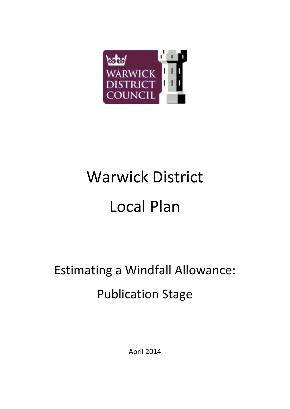

# Warwick District Local Plan

## Estimating a Windfall Allowance: Publication Stage

April 2014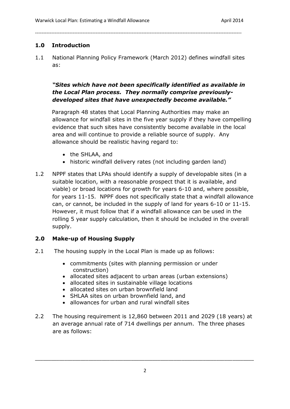#### **1.0 Introduction**

1.1 National Planning Policy Framework (March 2012) defines windfall sites as:

------------------------------------------------------------------------------------------------------------------------------

#### *"Sites which have not been specifically identified as available in the Local Plan process. They normally comprise previouslydeveloped sites that have unexpectedly become available."*

 Paragraph 48 states that Local Planning Authorities may make an allowance for windfall sites in the five year supply if they have compelling evidence that such sites have consistently become available in the local area and will continue to provide a reliable source of supply. Any allowance should be realistic having regard to:

- the SHLAA, and
- historic windfall delivery rates (not including garden land)
- 1.2 NPPF states that LPAs should identify a supply of developable sites (in a suitable location, with a reasonable prospect that it is available, and viable) or broad locations for growth for years 6-10 and, where possible, for years 11-15. NPPF does not specifically state that a windfall allowance can, or cannot, be included in the supply of land for years 6-10 or 11-15. However, it must follow that if a windfall allowance can be used in the rolling 5 year supply calculation, then it should be included in the overall supply.

#### **2.0 Make-up of Housing Supply**

- 2.1 The housing supply in the Local Plan is made up as follows:
	- commitments (sites with planning permission or under construction)
	- allocated sites adjacent to urban areas (urban extensions)
	- allocated sites in sustainable village locations
	- allocated sites on urban brownfield land
	- SHLAA sites on urban brownfield land, and
	- allowances for urban and rural windfall sites
- 2.2 The housing requirement is 12,860 between 2011 and 2029 (18 years) at an average annual rate of 714 dwellings per annum. The three phases are as follows: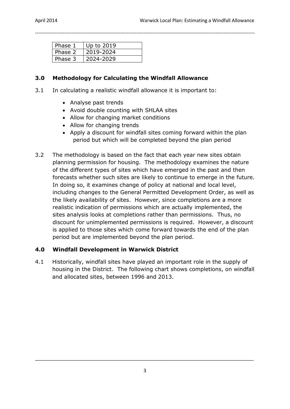| Phase 1 | Up to 2019 |
|---------|------------|
| Phase 2 | 2019-2024  |
| Phase 3 | 2024-2029  |

#### **3.0 Methodology for Calculating the Windfall Allowance**

3.1 In calculating a realistic windfall allowance it is important to:

--------------------------------------------------------------------------------------------------------------------------------------

- Analyse past trends
- Avoid double counting with SHLAA sites
- Allow for changing market conditions
- Allow for changing trends
- Apply a discount for windfall sites coming forward within the plan period but which will be completed beyond the plan period
- 3.2 The methodology is based on the fact that each year new sites obtain planning permission for housing. The methodology examines the nature of the different types of sites which have emerged in the past and then forecasts whether such sites are likely to continue to emerge in the future. In doing so, it examines change of policy at national and local level, including changes to the General Permitted Development Order, as well as the likely availability of sites. However, since completions are a more realistic indication of permissions which are actually implemented, the sites analysis looks at completions rather than permissions. Thus, no discount for unimplemented permissions is required. However, a discount is applied to those sites which come forward towards the end of the plan period but are implemented beyond the plan period.

#### **4.0 Windfall Development in Warwick District**

4.1 Historically, windfall sites have played an important role in the supply of housing in the District. The following chart shows completions, on windfall and allocated sites, between 1996 and 2013.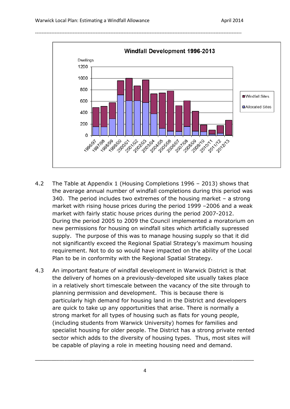

- 4.2 The Table at Appendix 1 (Housing Completions 1996 2013) shows that the average annual number of windfall completions during this period was 340. The period includes two extremes of the housing market – a strong market with rising house prices during the period 1999 –2006 and a weak market with fairly static house prices during the period 2007-2012. During the period 2005 to 2009 the Council implemented a moratorium on new permissions for housing on windfall sites which artificially supressed supply. The purpose of this was to manage housing supply so that it did not significantly exceed the Regional Spatial Strategy's maximum housing requirement. Not to do so would have impacted on the ability of the Local Plan to be in conformity with the Regional Spatial Strategy.
- 4.3 An important feature of windfall development in Warwick District is that the delivery of homes on a previously-developed site usually takes place in a relatively short timescale between the vacancy of the site through to planning permission and development. This is because there is particularly high demand for housing land in the District and developers are quick to take up any opportunities that arise. There is normally a strong market for all types of housing such as flats for young people, (including students from Warwick University) homes for families and specialist housing for older people. The District has a strong private rented sector which adds to the diversity of housing types. Thus, most sites will be capable of playing a role in meeting housing need and demand.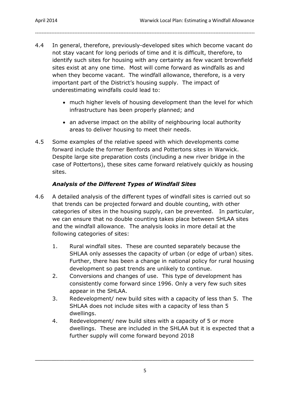4.4 In general, therefore, previously-developed sites which become vacant do not stay vacant for long periods of time and it is difficult, therefore, to identify such sites for housing with any certainty as few vacant brownfield sites exist at any one time. Most will come forward as windfalls as and when they become vacant. The windfall allowance, therefore, is a very important part of the District's housing supply. The impact of underestimating windfalls could lead to:

--------------------------------------------------------------------------------------------------------------------------------------

- much higher levels of housing development than the level for which infrastructure has been properly planned; and
- an adverse impact on the ability of neighbouring local authority areas to deliver housing to meet their needs.
- 4.5 Some examples of the relative speed with which developments come forward include the former Benfords and Pottertons sites in Warwick. Despite large site preparation costs (including a new river bridge in the case of Pottertons), these sites came forward relatively quickly as housing sites.

#### *Analysis of the Different Types of Windfall Sites*

- 4.6 A detailed analysis of the different types of windfall sites is carried out so that trends can be projected forward and double counting, with other categories of sites in the housing supply, can be prevented. In particular, we can ensure that no double counting takes place between SHLAA sites and the windfall allowance. The analysis looks in more detail at the following categories of sites:
	- 1. Rural windfall sites. These are counted separately because the SHLAA only assesses the capacity of urban (or edge of urban) sites. Further, there has been a change in national policy for rural housing development so past trends are unlikely to continue.
	- 2. Conversions and changes of use. This type of development has consistently come forward since 1996. Only a very few such sites appear in the SHLAA.
	- 3. Redevelopment/ new build sites with a capacity of less than 5. The SHLAA does not include sites with a capacity of less than 5 dwellings.
	- 4. Redevelopment/ new build sites with a capacity of 5 or more dwellings. These are included in the SHLAA but it is expected that a further supply will come forward beyond 2018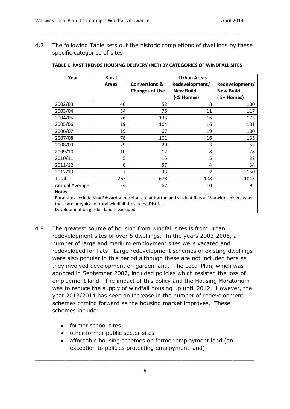4.7 The following Table sets out the historic completions of dwellings by these specific categories of sites:

------------------------------------------------------------------------------------------------------------------------------

| Year           | <b>Rural</b>   | <b>Urban Areas</b>       |                  |                  |  |
|----------------|----------------|--------------------------|------------------|------------------|--|
|                | <b>Areas</b>   | <b>Conversions &amp;</b> | Redevelopment/   | Redevelopment/   |  |
|                |                | <b>Changes of Use</b>    | <b>New Build</b> | <b>New Build</b> |  |
|                |                |                          | (<5 Homes)       | 5+ Homes)        |  |
| 2002/03        | 40             | 52                       | 8                | 100              |  |
| 2003/04        | 34             | 75                       | 11               | 117              |  |
| 2004/05        | 26             | 133                      | 16               | 173              |  |
| 2005/06        | 19             | 104                      | 16               | 131              |  |
| 2006/07        | 19             | 67                       | 19               | 100              |  |
| 2007/08        | 78             | 101                      | 16               | 135              |  |
| 2008/09        | 29             | 29                       | 3                | 53               |  |
| 2009/10        | 10             | 12                       | 8                | 28               |  |
| 2010/11        | 5              | 15                       | 5                | 22               |  |
| 2011/12        | 0              | 57                       | 4                | 34               |  |
| 2012/13        | $\overline{7}$ | 33                       | $\overline{2}$   | 150              |  |
| Total          | 267            | 678                      | 108              | 1043             |  |
| Annual Average | 24             | 62                       | 10               | 95               |  |
| <b>Natas</b>   |                |                          |                  |                  |  |

#### **TABLE 1 PAST TRENDS HOUSING DELIVERY (NET) BY CATEGORIES OF WINDFALL SITES**

**Notes** 

Rural sites exclude King Edward VI hospital site at Hatton and student flats at Warwick University as these are untypical of rural windfall sites in the District. Development on garden land is excluded

- 4.8 The greatest source of housing from windfall sites is from urban redevelopment sites of over 5 dwellings. In the years 2003-2006, a number of large and medium employment sites were vacated and redeveloped for flats. Large redevelopment schemes of existing dwellings were also popular in this period although these are not included here as they involved development on garden land. The Local Plan, which was adopted in September 2007, included policies which resisted the loss of employment land. The impact of this policy and the Housing Moratorium was to reduce the supply of windfall housing up until 2012. However, the year 2013/2014 has seen an increase in the number of redevelopment schemes coming forward as the housing market improves. These schemes include:
	- former school sites
	- other former public sector sites
	- affordable housing schemes on former employment land (an exception to policies protecting employment land)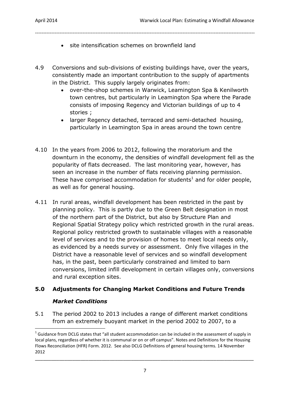- site intensification schemes on brownfield land
- 4.9 Conversions and sub-divisions of existing buildings have, over the years, consistently made an important contribution to the supply of apartments in the District. This supply largely originates from:

--------------------------------------------------------------------------------------------------------------------------------------

- over-the-shop schemes in Warwick, Leamington Spa & Kenilworth town centres, but particularly in Leamington Spa where the Parade consists of imposing Regency and Victorian buildings of up to 4 stories ;
- larger Regency detached, terraced and semi-detached housing, particularly in Leamington Spa in areas around the town centre
- 4.10 In the years from 2006 to 2012, following the moratorium and the downturn in the economy, the densities of windfall development fell as the popularity of flats decreased. The last monitoring year, however, has seen an increase in the number of flats receiving planning permission. These have comprised accommodation for students<sup>1</sup> and for older people, as well as for general housing.
- 4.11 In rural areas, windfall development has been restricted in the past by planning policy. This is partly due to the Green Belt designation in most of the northern part of the District, but also by Structure Plan and Regional Spatial Strategy policy which restricted growth in the rural areas. Regional policy restricted growth to sustainable villages with a reasonable level of services and to the provision of homes to meet local needs only, as evidenced by a needs survey or assessment. Only five villages in the District have a reasonable level of services and so windfall development has, in the past, been particularly constrained and limited to barn conversions, limited infill development in certain villages only, conversions and rural exception sites.

#### **5.0 Adjustments for Changing Market Conditions and Future Trends**

#### *Market Conditions*

1

5.1 The period 2002 to 2013 includes a range of different market conditions from an extremely buoyant market in the period 2002 to 2007, to a

 $^1$  Guidance from DCLG states that "all student accommodation can be included in the assessment of supply in local plans, regardless of whether it is communal or on or off campus". Notes and Definitions for the Housing Flows Reconciliation (HFR) Form. 2012. See also DCLG Definitions of general housing terms. 14 November 2012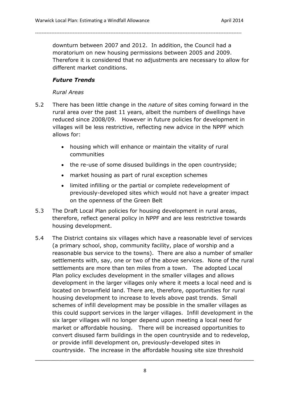downturn between 2007 and 2012. In addition, the Council had a moratorium on new housing permissions between 2005 and 2009. Therefore it is considered that no adjustments are necessary to allow for different market conditions.

------------------------------------------------------------------------------------------------------------------------------

#### *Future Trends*

#### *Rural Areas*

- 5.2 There has been little change in the *nature* of sites coming forward in the rural area over the past 11 years, albeit the numbers of dwellings have reduced since 2008/09. However in future policies for development in villages will be less restrictive, reflecting new advice in the NPPF which allows for:
	- housing which will enhance or maintain the vitality of rural communities
	- the re-use of some disused buildings in the open countryside;
	- market housing as part of rural exception schemes
	- limited infilling or the partial or complete redevelopment of previously-developed sites which would not have a greater impact on the openness of the Green Belt
- 5.3 The Draft Local Plan policies for housing development in rural areas, therefore, reflect general policy in NPPF and are less restrictive towards housing development.
- 5.4 The District contains six villages which have a reasonable level of services (a primary school, shop, community facility, place of worship and a reasonable bus service to the towns). There are also a number of smaller settlements with, say, one or two of the above services. None of the rural settlements are more than ten miles from a town. The adopted Local Plan policy excludes development in the smaller villages and allows development in the larger villages only where it meets a local need and is located on brownfield land. There are, therefore, opportunities for rural housing development to increase to levels above past trends. Small schemes of infill development may be possible in the smaller villages as this could support services in the larger villages. Infill development in the six larger villages will no longer depend upon meeting a local need for market or affordable housing. There will be increased opportunities to convert disused farm buildings in the open countryside and to redevelop, or provide infill development on, previously-developed sites in countryside. The increase in the affordable housing site size threshold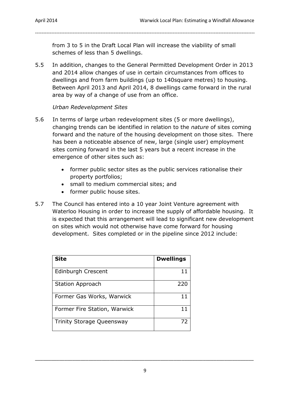from 3 to 5 in the Draft Local Plan will increase the viability of small schemes of less than 5 dwellings.

--------------------------------------------------------------------------------------------------------------------------------------

5.5 In addition, changes to the General Permitted Development Order in 2013 and 2014 allow changes of use in certain circumstances from offices to dwellings and from farm buildings (up to 140square metres) to housing. Between April 2013 and April 2014, 8 dwellings came forward in the rural area by way of a change of use from an office.

#### *Urban Redevelopment Sites*

- 5.6 In terms of large urban redevelopment sites (5 or more dwellings), changing trends can be identified in relation to the *nature* of sites coming forward and the nature of the housing development on those sites. There has been a noticeable absence of new, large (single user) employment sites coming forward in the last 5 years but a recent increase in the emergence of other sites such as:
	- former public sector sites as the public services rationalise their property portfolios;
	- small to medium commercial sites; and
	- former public house sites.
- 5.7 The Council has entered into a 10 year Joint Venture agreement with Waterloo Housing in order to increase the supply of affordable housing. It is expected that this arrangement will lead to significant new development on sites which would not otherwise have come forward for housing development. Sites completed or in the pipeline since 2012 include:

| <b>Site</b>                      | <b>Dwellings</b> |
|----------------------------------|------------------|
| Edinburgh Crescent               |                  |
| <b>Station Approach</b>          | 220              |
| Former Gas Works, Warwick        |                  |
| Former Fire Station, Warwick     |                  |
| <b>Trinity Storage Queensway</b> | 77               |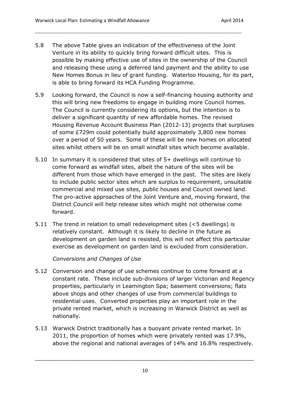5.8 The above Table gives an indication of the effectiveness of the Joint Venture in its ability to quickly bring forward difficult sites. This is possible by making effective use of sites in the ownership of the Council and releasing these using a deferred land payment and the ability to use New Homes Bonus in lieu of grant funding. Waterloo Housing, for its part, is able to bring forward its HCA Funding Programme.

------------------------------------------------------------------------------------------------------------------------------

- 5.9 Looking forward, the Council is now a self-financing housing authority and this will bring new freedoms to engage in building more Council homes. The Council is currently considering its options, but the intention is to deliver a significant quantity of new affordable homes. The revised Housing Revenue Account Business Plan (2012-13) projects that surpluses of some £729m could potentially build approximately 3,800 new homes over a period of 50 years. Some of these will be new homes on allocated sites whilst others will be on small windfall sites which become available.
- 5.10 In summary it is considered that sites of 5+ dwellings will continue to come forward as windfall sites, albeit the nature of the sites will be different from those which have emerged in the past. The sites are likely to include public sector sites which are surplus to requirement, unsuitable commercial and mixed use sites, public houses and Council owned land. The pro-active approaches of the Joint Venture and, moving forward, the District Council will help release sites which might not otherwise come forward.
- 5.11 The trend in relation to small redevelopment sites (<5 dwellings) is relatively constant. Although it is likely to decline in the future as development on garden land is resisted, this will not affect this particular exercise as development on garden land is excluded from consideration.

*Conversions and Changes of Use*

- 5.12 Conversion and change of use schemes continue to come forward at a constant rate. These include sub-divisions of larger Victorian and Regency properties, particularly in Leamington Spa; basement conversions; flats above shops and other changes of use from commercial buildings to residential uses. Converted properties play an important role in the private rented market, which is increasing in Warwick District as well as nationally.
- 5.13 Warwick District traditionally has a buoyant private rented market. In 2011, the proportion of homes which were privately rented was 17.9%, above the regional and national averages of 14% and 16.8% respectively.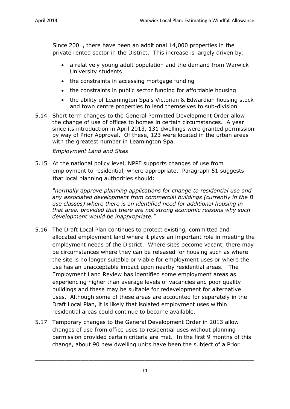Since 2001, there have been an additional 14,000 properties in the private rented sector in the District. This increase is largely driven by:

--------------------------------------------------------------------------------------------------------------------------------------

- a relatively young adult population and the demand from Warwick University students
- the constraints in accessing mortgage funding
- the constraints in public sector funding for affordable housing
- the ability of Leamington Spa's Victorian & Edwardian housing stock and town centre properties to lend themselves to sub-division
- 5.14 Short term changes to the General Permitted Development Order allow the change of use of offices to homes in certain circumstances. A year since its introduction in April 2013, 131 dwellings were granted permission by way of Prior Approval. Of these, 123 were located in the urban areas with the greatest number in Leamington Spa.

#### *Employment Land and Sites*

5.15 At the national policy level, NPPF supports changes of use from employment to residential, where appropriate. Paragraph 51 suggests that local planning authorities should:

*"normally approve planning applications for change to residential use and any associated development from commercial buildings (currently in the B use classes) where there is an identified need for additional housing in that area, provided that there are not strong economic reasons why such development would be inappropriate."*

- 5.16 The Draft Local Plan continues to protect existing, committed and allocated employment land where it plays an important role in meeting the employment needs of the District. Where sites become vacant, there may be circumstances where they can be released for housing such as where the site is no longer suitable or viable for employment uses or where the use has an unacceptable impact upon nearby residential areas. The Employment Land Review has identified some employment areas as experiencing higher than average levels of vacancies and poor quality buildings and these may be suitable for redevelopment for alternative uses. Although some of these areas are accounted for separately in the Draft Local Plan, it is likely that isolated employment uses within residential areas could continue to become available.
- 5.17 Temporary changes to the General Development Order in 2013 allow changes of use from office uses to residential uses without planning permission provided certain criteria are met. In the first 9 months of this change, about 90 new dwelling units have been the subject of a Prior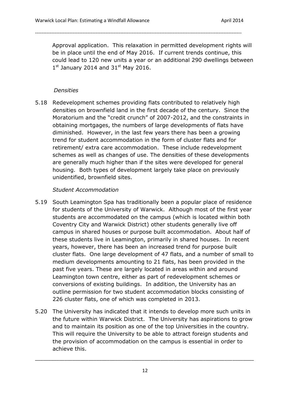Approval application. This relaxation in permitted development rights will be in place until the end of May 2016. If current trends continue, this could lead to 120 new units a year or an additional 290 dwellings between  $1<sup>st</sup>$  January 2014 and 31 $<sup>st</sup>$  May 2016.</sup>

------------------------------------------------------------------------------------------------------------------------------

#### *Densities*

5.18 Redevelopment schemes providing flats contributed to relatively high densities on brownfield land in the first decade of the century. Since the Moratorium and the "credit crunch" of 2007-2012, and the constraints in obtaining mortgages, the numbers of large developments of flats have diminished. However, in the last few years there has been a growing trend for student accommodation in the form of cluster flats and for retirement/ extra care accommodation. These include redevelopment schemes as well as changes of use. The densities of these developments are generally much higher than if the sites were developed for general housing. Both types of development largely take place on previously unidentified, brownfield sites.

#### *Student Accommodation*

- 5.19 South Leamington Spa has traditionally been a popular place of residence for students of the University of Warwick. Although most of the first year students are accommodated on the campus (which is located within both Coventry City and Warwick District) other students generally live off campus in shared houses or purpose built accommodation. About half of these students live in Leamington, primarily in shared houses. In recent years, however, there has been an increased trend for purpose built cluster flats. One large development of 47 flats, and a number of small to medium developments amounting to 21 flats, has been provided in the past five years. These are largely located in areas within and around Leamington town centre, either as part of redevelopment schemes or conversions of existing buildings. In addition, the University has an outline permission for two student accommodation blocks consisting of 226 cluster flats, one of which was completed in 2013.
- 5.20 The University has indicated that it intends to develop more such units in the future within Warwick District. The University has aspirations to grow and to maintain its position as one of the top Universities in the country. This will require the University to be able to attract foreign students and the provision of accommodation on the campus is essential in order to achieve this.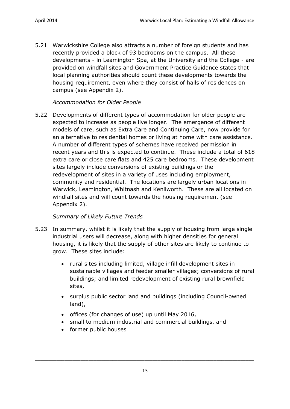5.21 Warwickshire College also attracts a number of foreign students and has recently provided a block of 93 bedrooms on the campus. All these developments - in Leamington Spa, at the University and the College - are provided on windfall sites and Government Practice Guidance states that local planning authorities should count these developments towards the housing requirement, even where they consist of halls of residences on campus (see Appendix 2).

--------------------------------------------------------------------------------------------------------------------------------------

#### *Accommodation for Older People*

5.22 Developments of different types of accommodation for older people are expected to increase as people live longer. The emergence of different models of care, such as Extra Care and Continuing Care, now provide for an alternative to residential homes or living at home with care assistance. A number of different types of schemes have received permission in recent years and this is expected to continue. These include a total of 618 extra care or close care flats and 425 care bedrooms. These development sites largely include conversions of existing buildings or the redevelopment of sites in a variety of uses including employment, community and residential. The locations are largely urban locations in Warwick, Leamington, Whitnash and Kenilworth. These are all located on windfall sites and will count towards the housing requirement (see Appendix 2).

#### *Summary of Likely Future Trends*

- 5.23 In summary, whilst it is likely that the supply of housing from large single industrial users will decrease, along with higher densities for general housing, it is likely that the supply of other sites are likely to continue to grow. These sites include:
	- rural sites including limited, village infill development sites in sustainable villages and feeder smaller villages; conversions of rural buildings; and limited redevelopment of existing rural brownfield sites,
	- surplus public sector land and buildings (including Council-owned land),
	- offices (for changes of use) up until May 2016,
	- small to medium industrial and commercial buildings, and
	- former public houses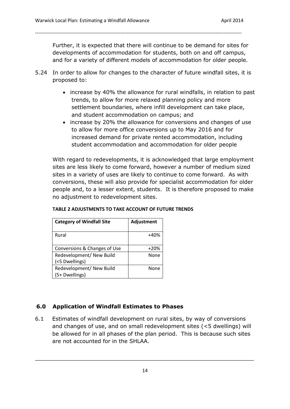Further, it is expected that there will continue to be demand for sites for developments of accommodation for students, both on and off campus, and for a variety of different models of accommodation for older people.

5.24 In order to allow for changes to the character of future windfall sites, it is proposed to:

------------------------------------------------------------------------------------------------------------------------------

- increase by 40% the allowance for rural windfalls, in relation to past trends, to allow for more relaxed planning policy and more settlement boundaries, where infill development can take place, and student accommodation on campus; and
- increase by 20% the allowance for conversions and changes of use to allow for more office conversions up to May 2016 and for increased demand for private rented accommodation, including student accommodation and accommodation for older people

With regard to redevelopments, it is acknowledged that large employment sites are less likely to come forward, however a number of medium sized sites in a variety of uses are likely to continue to come forward. As with conversions, these will also provide for specialist accommodation for older people and, to a lesser extent, students. It is therefore proposed to make no adjustment to redevelopment sites.

| <b>Category of Windfall Site</b>           | Adjustment |
|--------------------------------------------|------------|
| Rural                                      | $+40%$     |
| Conversions & Changes of Use               | $+20%$     |
| Redevelopment/ New Build<br>(<5 Dwellings) | None       |
| Redevelopment/ New Build<br>(5+ Dwellings) | None       |

#### **TABLE 2 ADJUSTMENTS TO TAKE ACCOUNT OF FUTURE TRENDS**

#### **6.0 Application of Windfall Estimates to Phases**

6.1 Estimates of windfall development on rural sites, by way of conversions and changes of use, and on small redevelopment sites (<5 dwellings) will be allowed for in all phases of the plan period. This is because such sites are not accounted for in the SHLAA.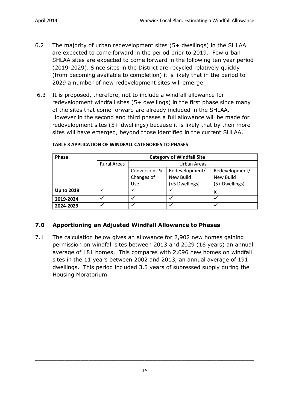6.2 The majority of urban redevelopment sites (5+ dwellings) in the SHLAA are expected to come forward in the period prior to 2019. Few urban SHLAA sites are expected to come forward in the following ten year period (2019-2029). Since sites in the District are recycled relatively quickly (from becoming available to completion) it is likely that in the period to 2029 a number of new redevelopment sites will emerge.

--------------------------------------------------------------------------------------------------------------------------------------

6.3 It is proposed, therefore, not to include a windfall allowance for redevelopment windfall sites (5+ dwellings) in the first phase since many of the sites that come forward are already included in the SHLAA. However in the second and third phases a full allowance will be made for redevelopment sites (5+ dwellings) because it is likely that by then more sites will have emerged, beyond those identified in the current SHLAA.

| <b>Phase</b>      |                    | <b>Category of Windfall Site</b>     |                |                |  |  |
|-------------------|--------------------|--------------------------------------|----------------|----------------|--|--|
|                   | <b>Rural Areas</b> | Urban Areas                          |                |                |  |  |
|                   |                    | Conversions &                        | Redevelopment/ |                |  |  |
|                   |                    | Changes of<br>New Build<br>New Build |                |                |  |  |
|                   |                    | Use                                  | (<5 Dwellings) | (5+ Dwellings) |  |  |
| <b>Up to 2019</b> |                    |                                      |                | x              |  |  |
| 2019-2024         |                    |                                      |                |                |  |  |
| 2024-2029         |                    |                                      |                |                |  |  |

#### **TABLE 3 APPLICATION OF WINDFALL CATEGORIES TO PHASES**

#### **7.0 Apportioning an Adjusted Windfall Allowance to Phases**

7.1 The calculation below gives an allowance for 2,902 new homes gaining permission on windfall sites between 2013 and 2029 (16 years) an annual average of 181 homes. This compares with 2,096 new homes on windfall sites in the 11 years between 2002 and 2013, an annual average of 191 dwellings. This period included 3.5 years of supressed supply during the Housing Moratorium.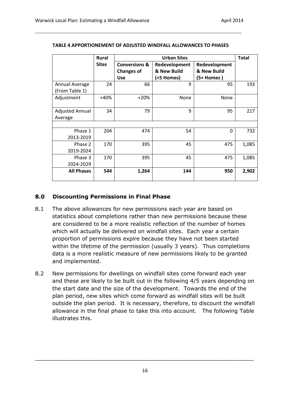|                        | <b>Rural</b> | <b>Urban Sites</b>       |                                |             |       |
|------------------------|--------------|--------------------------|--------------------------------|-------------|-------|
|                        | <b>Sites</b> | <b>Conversions &amp;</b> | Redevelopment<br>Redevelopment |             |       |
|                        |              | <b>Changes of</b>        | & New Build                    | & New Build |       |
|                        |              | <b>Use</b>               | (<5 Homes)                     | (5+ Homes)  |       |
| Annual Average         | 24           | 66                       | 9                              | 95          | 193   |
| (From Table 1)         |              |                          |                                |             |       |
| Adjustment             | $+40%$       | $+20%$                   | None                           | None        |       |
|                        |              |                          |                                |             |       |
| <b>Adjusted Annual</b> | 34           | 79                       | 9                              | 95          | 217   |
| Average                |              |                          |                                |             |       |
|                        |              |                          |                                |             |       |
| Phase 1                | 204          | 474                      | 54                             | 0           | 732   |
| 2013-2019              |              |                          |                                |             |       |
| Phase 2                | 170          | 395                      | 45                             | 475         | 1,085 |
| 2019-2024              |              |                          |                                |             |       |
| Phase 3                | 170          | 395                      | 45                             | 475         | 1,085 |
| 2024-2029              |              |                          |                                |             |       |
| <b>All Phases</b>      | 544          | 1,264                    | 144                            | 950         | 2,902 |

#### **TABLE 4 APPORTIONEMENT OF ADJUSTED WINDFALL ALLOWANCES TO PHASES**

------------------------------------------------------------------------------------------------------------------------------

#### **8.0 Discounting Permissions in Final Phase**

- 8.1 The above allowances for new permissions each year are based on statistics about completions rather than new permissions because these are considered to be a more realistic reflection of the number of homes which will actually be delivered on windfall sites. Each year a certain proportion of permissions expire because they have not been started within the lifetime of the permission (usually 3 years). Thus completions data is a more realistic measure of new permissions likely to be granted and implemented.
- 8.2 New permissions for dwellings on windfall sites come forward each year and these are likely to be built out in the following 4/5 years depending on the start date and the size of the development. Towards the end of the plan period, new sites which come forward as windfall sites will be built outside the plan period. It is necessary, therefore, to discount the windfall allowance in the final phase to take this into account. The following Table illustrates this.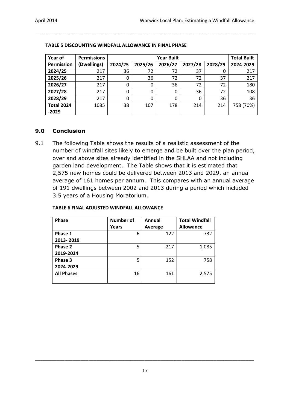| Year of           | <b>Permissions</b> |         | <b>Year Built</b> |         |         |         |           |
|-------------------|--------------------|---------|-------------------|---------|---------|---------|-----------|
| Permission        | (Dwellings)        | 2024/25 | 2025/26           | 2026/27 | 2027/28 | 2028/29 | 2024-2029 |
| 2024/25           | 217                | 36      | 72                | 72      | 37      |         | 217       |
| 2025/26           | 217                | 0       | 36                | 72      | 72      | 37      | 217       |
| 2026/27           | 217                | 0       | 0                 | 36      | 72      | 72      | 180       |
| 2027/28           | 217                | 0       | 0                 | 0       | 36      | 72      | 108       |
| 2028/29           | 217                | 0       | 0                 | 0       | 0       | 36      | 36        |
| <b>Total 2024</b> | 1085               | 38      | 107               | 178     | 214     | 214     | 758 (70%) |
| $-2029$           |                    |         |                   |         |         |         |           |

--------------------------------------------------------------------------------------------------------------------------------------

#### **TABLE 5 DISCOUNTING WINDFALL ALLOWANCE IN FINAL PHASE**

#### **9.0 Conclusion**

9.1 The following Table shows the results of a realistic assessment of the number of windfall sites likely to emerge and be built over the plan period, over and above sites already identified in the SHLAA and not including garden land development. The Table shows that it is estimated that 2,575 new homes could be delivered between 2013 and 2029, an annual average of 161 homes per annum. This compares with an annual average of 191 dwellings between 2002 and 2013 during a period which included 3.5 years of a Housing Moratorium.

| <b>Phase</b>      | Number of | Annual  | <b>Total Windfall</b> |
|-------------------|-----------|---------|-----------------------|
|                   | Years     | Average | <b>Allowance</b>      |
| Phase 1           | 6         | 122     | 732                   |
| 2013-2019         |           |         |                       |
| Phase 2           | 5         | 217     | 1,085                 |
| 2019-2024         |           |         |                       |
| Phase 3           | 5         | 152     | 758                   |
| 2024-2029         |           |         |                       |
| <b>All Phases</b> | 16        | 161     | 2,575                 |
|                   |           |         |                       |

#### **TABLE 6 FINAL ADJUSTED WINDFALL ALLOWANCE**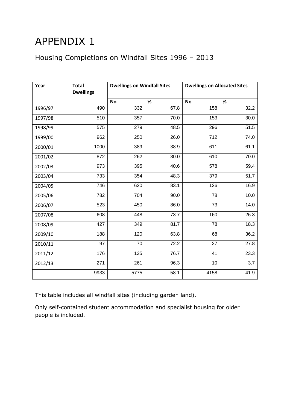## APPENDIX 1

#### Housing Completions on Windfall Sites 1996 – 2013

| Year    | <b>Total</b><br><b>Dwellings</b> | <b>Dwellings on Windfall Sites</b> |      | <b>Dwellings on Allocated Sites</b> |                   |
|---------|----------------------------------|------------------------------------|------|-------------------------------------|-------------------|
|         |                                  | <b>No</b>                          | %    | <b>No</b>                           | $\%$              |
| 1996/97 | 490                              | 332                                | 67.8 | 158                                 | 32.2              |
| 1997/98 | 510                              | 357                                | 70.0 | 153                                 | 30.0              |
| 1998/99 | 575                              | 279                                | 48.5 | 296                                 | 51.5              |
| 1999/00 | 962                              | 250                                | 26.0 | 712                                 | 74.0              |
| 2000/01 | 1000                             | 389                                | 38.9 | 611                                 | 61.1              |
| 2001/02 | 872                              | 262                                | 30.0 | 610                                 | 70.0              |
| 2002/03 | 973                              | 395                                | 40.6 | 578                                 | 59.4              |
| 2003/04 | 733                              | 354                                | 48.3 | 379                                 | $\overline{51.7}$ |
| 2004/05 | 746                              | 620                                | 83.1 | 126                                 | 16.9              |
| 2005/06 | 782                              | 704                                | 90.0 | 78                                  | 10.0              |
| 2006/07 | 523                              | 450                                | 86.0 | 73                                  | 14.0              |
| 2007/08 | 608                              | 448                                | 73.7 | 160                                 | 26.3              |
| 2008/09 | 427                              | 349                                | 81.7 | 78                                  | 18.3              |
| 2009/10 | 188                              | 120                                | 63.8 | 68                                  | 36.2              |
| 2010/11 | 97                               | 70                                 | 72.2 | 27                                  | 27.8              |
| 2011/12 | 176                              | 135                                | 76.7 | 41                                  | 23.3              |
| 2012/13 | 271                              | 261                                | 96.3 | 10                                  | 3.7               |
|         | 9933                             | 5775                               | 58.1 | 4158                                | 41.9              |

This table includes all windfall sites (including garden land).

Only self-contained student accommodation and specialist housing for older people is included.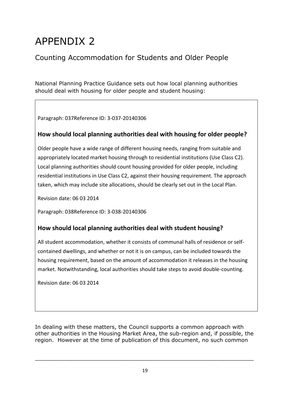## APPENDIX 2

#### Counting Accommodation for Students and Older People

National Planning Practice Guidance sets out how local planning authorities should deal with housing for older people and student housing:

Paragraph: 037Reference ID: 3-037-20140306

#### **How should local planning authorities deal with housing for older people?**

Older people have a wide range of different housing needs, ranging from suitable and appropriately located market housing through to residential institutions (Use Class C2). Local planning authorities should count housing provided for older people, including residential institutions in Use Class C2, against their housing requirement. The approach taken, which may include site allocations, should be clearly set out in the Local Plan.

Revision date: 06 03 2014

Paragraph: 038Reference ID: 3-038-20140306

#### **How should local planning authorities deal with student housing?**

All student accommodation, whether it consists of communal halls of residence or selfcontained dwellings, and whether or not it is on campus, can be included towards the housing requirement, based on the amount of accommodation it releases in the housing market. Notwithstanding, local authorities should take steps to avoid double-counting.

Revision date: 06 03 2014

In dealing with these matters, the Council supports a common approach with other authorities in the Housing Market Area, the sub-region and, if possible, the region. However at the time of publication of this document, no such common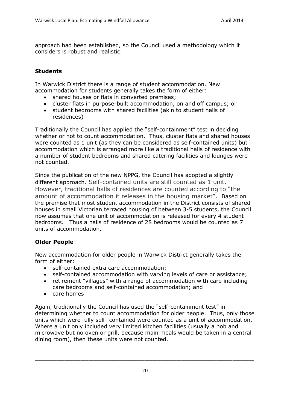approach had been established, so the Council used a methodology which it considers is robust and realistic.

------------------------------------------------------------------------------------------------------------------------------

#### **Students**

In Warwick District there is a range of student accommodation. New accommodation for students generally takes the form of either:

- shared houses or flats in converted premises;
- cluster flats in purpose-built accommodation, on and off campus; or
- student bedrooms with shared facilities (akin to student halls of residences)

Traditionally the Council has applied the "self-containment" test in deciding whether or not to count accommodation. Thus, cluster flats and shared houses were counted as 1 unit (as they can be considered as self-contained units) but accommodation which is arranged more like a traditional halls of residence with a number of student bedrooms and shared catering facilities and lounges were not counted.

Since the publication of the new NPPG, the Council has adopted a slightly different approach. Self-contained units are still counted as 1 unit. However, traditional halls of residences are counted according to "the amount of accommodation it releases in the housing market". Based on the premise that most student accommodation in the District consists of shared houses in small Victorian terraced housing of between 3-5 students, the Council now assumes that one unit of accommodation is released for every 4 student bedrooms. Thus a halls of residence of 28 bedrooms would be counted as 7 units of accommodation.

#### **Older People**

New accommodation for older people in Warwick District generally takes the form of either:

- self-contained extra care accommodation;
- self-contained accommodation with varying levels of care or assistance;
- retirement "villages" with a range of accommodation with care including care bedrooms and self-contained accommodation; and
- care homes

Again, traditionally the Council has used the "self-containment test" in determining whether to count accommodation for older people. Thus, only those units which were fully self- contained were counted as a unit of accommodation. Where a unit only included very limited kitchen facilities (usually a hob and microwave but no oven or grill, because main meals would be taken in a central dining room), then these units were not counted.